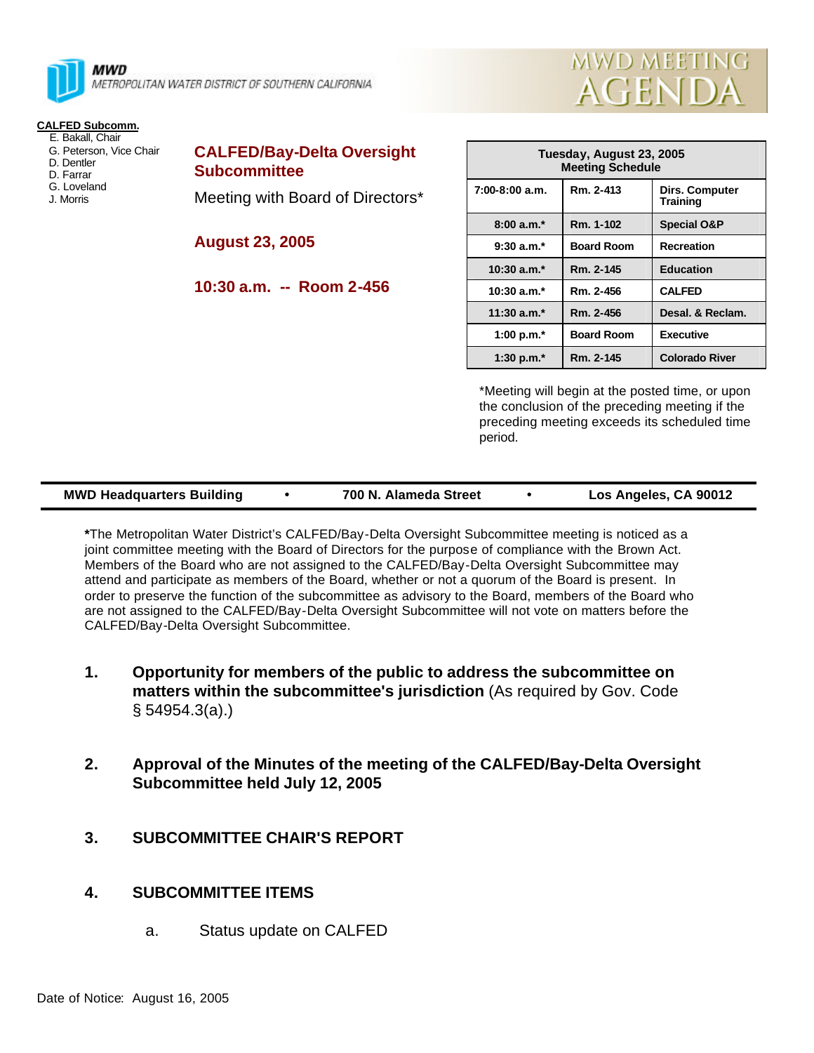

## **CALFED Subcomm.**

- E. Bakall, Chair
- G. Peterson, Vice Chair D. Dentler
- D. Farrar
- G. Loveland
- J. Morris

**CALFED/Bay-Delta Oversight Subcommittee**

Meeting with Board of Directors\*

**August 23, 2005**

**10:30 a.m. -- Room 2-456**

| Tuesday, August 23, 2005<br><b>Meeting Schedule</b> |                   |                            |  |  |  |
|-----------------------------------------------------|-------------------|----------------------------|--|--|--|
| 7:00-8:00 a.m.                                      | Rm. 2-413         | Dirs. Computer<br>Training |  |  |  |
| $8:00a.m.*$                                         | Rm. 1-102         | <b>Special O&amp;P</b>     |  |  |  |
| $9:30$ a.m. <sup>*</sup>                            | <b>Board Room</b> | <b>Recreation</b>          |  |  |  |
| $10:30$ a.m. $*$                                    | Rm. 2-145         | <b>Education</b>           |  |  |  |
| $10:30$ a.m. <sup>*</sup>                           | Rm. 2-456         | <b>CALFED</b>              |  |  |  |
| $11:30$ a.m. <sup>*</sup>                           | Rm. 2-456         | Desal. & Reclam.           |  |  |  |
| 1:00 p.m. $*$                                       | <b>Board Room</b> | <b>Executive</b>           |  |  |  |
| 1:30 p.m. $*$                                       | Rm. 2-145         | <b>Colorado River</b>      |  |  |  |

**MWD MEETING** 

**AGENDA** 

\*Meeting will begin at the posted time, or upon the conclusion of the preceding meeting if the preceding meeting exceeds its scheduled time period.

| <b>MWD Headquarters Building</b> | 700 N. Alameda Street | Los Angeles, CA 90012 |
|----------------------------------|-----------------------|-----------------------|
|                                  |                       |                       |

**\***The Metropolitan Water District's CALFED/Bay-Delta Oversight Subcommittee meeting is noticed as a joint committee meeting with the Board of Directors for the purpose of compliance with the Brown Act. Members of the Board who are not assigned to the CALFED/Bay-Delta Oversight Subcommittee may attend and participate as members of the Board, whether or not a quorum of the Board is present. In order to preserve the function of the subcommittee as advisory to the Board, members of the Board who are not assigned to the CALFED/Bay-Delta Oversight Subcommittee will not vote on matters before the CALFED/Bay-Delta Oversight Subcommittee.

- **1. Opportunity for members of the public to address the subcommittee on matters within the subcommittee's jurisdiction** (As required by Gov. Code § 54954.3(a).)
- **2. Approval of the Minutes of the meeting of the CALFED/Bay-Delta Oversight Subcommittee held July 12, 2005**
- **3. SUBCOMMITTEE CHAIR'S REPORT**

## **4. SUBCOMMITTEE ITEMS**

a. Status update on CALFED